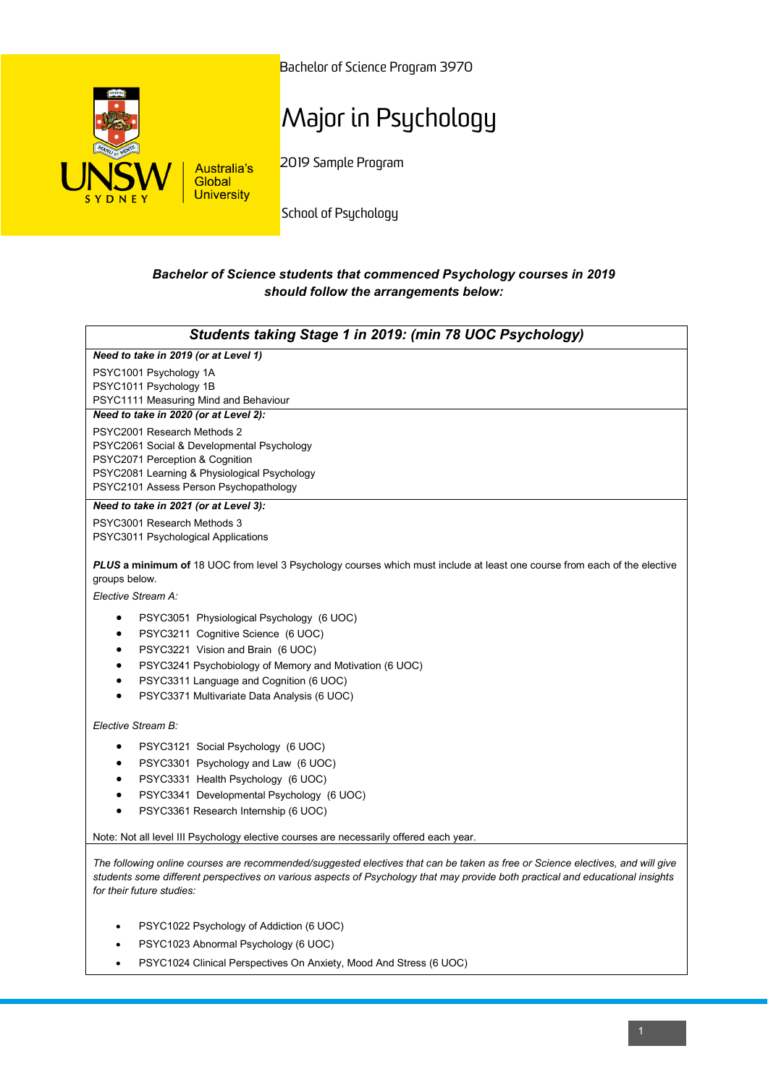

Bachelor of Science Program 3970

## Major in Psychology

2019 Sample Program

School of Psychology

## *Bachelor of Science students that commenced Psychology courses in 2019 should follow the arrangements below:*

| Students taking Stage 1 in 2019: (min 78 UOC Psychology)                                                                                                                |
|-------------------------------------------------------------------------------------------------------------------------------------------------------------------------|
| Need to take in 2019 (or at Level 1)                                                                                                                                    |
| PSYC1001 Psychology 1A                                                                                                                                                  |
| PSYC1011 Psychology 1B                                                                                                                                                  |
| PSYC1111 Measuring Mind and Behaviour                                                                                                                                   |
| Need to take in 2020 (or at Level 2):                                                                                                                                   |
| PSYC2001 Research Methods 2                                                                                                                                             |
| PSYC2061 Social & Developmental Psychology                                                                                                                              |
| PSYC2071 Perception & Cognition<br>PSYC2081 Learning & Physiological Psychology                                                                                         |
| PSYC2101 Assess Person Psychopathology                                                                                                                                  |
| Need to take in 2021 (or at Level 3):                                                                                                                                   |
| PSYC3001 Research Methods 3                                                                                                                                             |
| PSYC3011 Psychological Applications                                                                                                                                     |
| <b>PLUS a minimum of</b> 18 UOC from level 3 Psychology courses which must include at least one course from each of the elective<br>groups below.<br>Elective Stream A: |
| PSYC3051 Physiological Psychology (6 UOC)<br>$\bullet$                                                                                                                  |
| PSYC3211 Cognitive Science (6 UOC)<br>٠                                                                                                                                 |
| PSYC3221 Vision and Brain (6 UOC)<br>٠                                                                                                                                  |
| PSYC3241 Psychobiology of Memory and Motivation (6 UOC)                                                                                                                 |
| PSYC3311 Language and Cognition (6 UOC)<br>$\bullet$                                                                                                                    |
| PSYC3371 Multivariate Data Analysis (6 UOC)<br>$\bullet$                                                                                                                |
| Elective Stream B:                                                                                                                                                      |
| PSYC3121 Social Psychology (6 UOC)<br>٠                                                                                                                                 |
| PSYC3301 Psychology and Law (6 UOC)<br>٠                                                                                                                                |
| PSYC3331 Health Psychology (6 UOC)<br>$\bullet$                                                                                                                         |
| PSYC3341 Developmental Psychology (6 UOC)<br>$\bullet$                                                                                                                  |
| PSYC3361 Research Internship (6 UOC)<br>$\bullet$                                                                                                                       |
| Note: Not all level III Psychology elective courses are necessarily offered each year.                                                                                  |
|                                                                                                                                                                         |

*The following online courses are recommended/suggested electives that can be taken as free or Science electives, and will give students some different perspectives on various aspects of Psychology that may provide both practical and educational insights for their future studies:*

- PSYC1022 Psychology of Addiction (6 UOC)
- PSYC1023 Abnormal Psychology (6 UOC)
- PSYC1024 Clinical Perspectives On Anxiety, Mood And Stress (6 UOC)